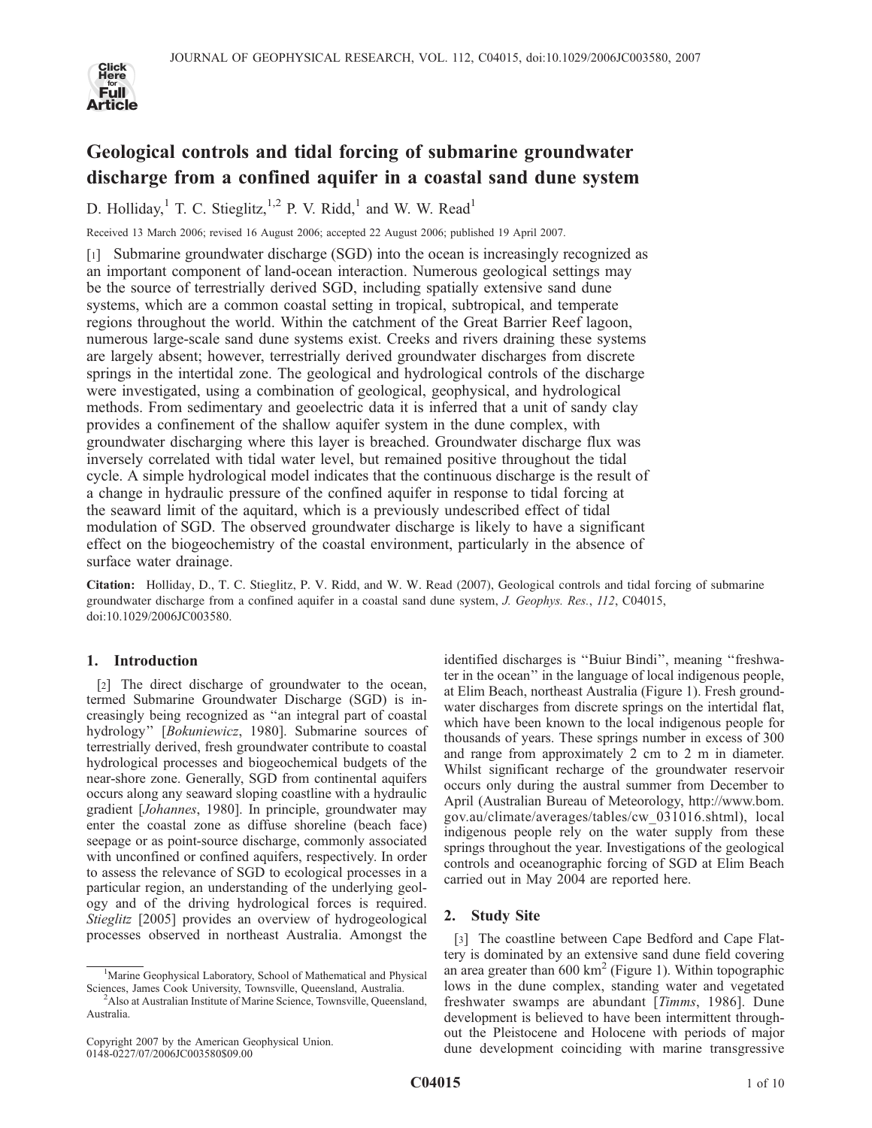

# Geological controls and tidal forcing of submarine groundwater discharge from a confined aquifer in a coastal sand dune system

D. Holliday,<sup>1</sup> T. C. Stieglitz,<sup>1,2</sup> P. V. Ridd,<sup>1</sup> and W. W. Read<sup>1</sup>

Received 13 March 2006; revised 16 August 2006; accepted 22 August 2006; published 19 April 2007.

[1] Submarine groundwater discharge (SGD) into the ocean is increasingly recognized as an important component of land-ocean interaction. Numerous geological settings may be the source of terrestrially derived SGD, including spatially extensive sand dune systems, which are a common coastal setting in tropical, subtropical, and temperate regions throughout the world. Within the catchment of the Great Barrier Reef lagoon, numerous large-scale sand dune systems exist. Creeks and rivers draining these systems are largely absent; however, terrestrially derived groundwater discharges from discrete springs in the intertidal zone. The geological and hydrological controls of the discharge were investigated, using a combination of geological, geophysical, and hydrological methods. From sedimentary and geoelectric data it is inferred that a unit of sandy clay provides a confinement of the shallow aquifer system in the dune complex, with groundwater discharging where this layer is breached. Groundwater discharge flux was inversely correlated with tidal water level, but remained positive throughout the tidal cycle. A simple hydrological model indicates that the continuous discharge is the result of a change in hydraulic pressure of the confined aquifer in response to tidal forcing at the seaward limit of the aquitard, which is a previously undescribed effect of tidal modulation of SGD. The observed groundwater discharge is likely to have a significant effect on the biogeochemistry of the coastal environment, particularly in the absence of surface water drainage.

Citation: Holliday, D., T. C. Stieglitz, P. V. Ridd, and W. W. Read (2007), Geological controls and tidal forcing of submarine groundwater discharge from a confined aquifer in a coastal sand dune system, J. Geophys. Res., 112, C04015, doi:10.1029/2006JC003580.

## 1. Introduction

[2] The direct discharge of groundwater to the ocean, termed Submarine Groundwater Discharge (SGD) is increasingly being recognized as ''an integral part of coastal hydrology" [Bokuniewicz, 1980]. Submarine sources of terrestrially derived, fresh groundwater contribute to coastal hydrological processes and biogeochemical budgets of the near-shore zone. Generally, SGD from continental aquifers occurs along any seaward sloping coastline with a hydraulic gradient [Johannes, 1980]. In principle, groundwater may enter the coastal zone as diffuse shoreline (beach face) seepage or as point-source discharge, commonly associated with unconfined or confined aquifers, respectively. In order to assess the relevance of SGD to ecological processes in a particular region, an understanding of the underlying geology and of the driving hydrological forces is required. Stieglitz [2005] provides an overview of hydrogeological processes observed in northeast Australia. Amongst the

identified discharges is ''Buiur Bindi'', meaning ''freshwater in the ocean'' in the language of local indigenous people, at Elim Beach, northeast Australia (Figure 1). Fresh groundwater discharges from discrete springs on the intertidal flat, which have been known to the local indigenous people for thousands of years. These springs number in excess of 300 and range from approximately 2 cm to 2 m in diameter. Whilst significant recharge of the groundwater reservoir occurs only during the austral summer from December to April (Australian Bureau of Meteorology, http://www.bom. gov.au/climate/averages/tables/cw\_031016.shtml), local indigenous people rely on the water supply from these springs throughout the year. Investigations of the geological controls and oceanographic forcing of SGD at Elim Beach carried out in May 2004 are reported here.

## 2. Study Site

[3] The coastline between Cape Bedford and Cape Flattery is dominated by an extensive sand dune field covering an area greater than  $600 \text{ km}^2$  (Figure 1). Within topographic lows in the dune complex, standing water and vegetated freshwater swamps are abundant [Timms, 1986]. Dune development is believed to have been intermittent throughout the Pleistocene and Holocene with periods of major dune development coinciding with marine transgressive

<sup>&</sup>lt;sup>1</sup>Marine Geophysical Laboratory, School of Mathematical and Physical Sciences, James Cook University, Townsville, Queensland, Australia. <sup>2</sup>

<sup>&</sup>lt;sup>2</sup>Also at Australian Institute of Marine Science, Townsville, Queensland, Australia.

Copyright 2007 by the American Geophysical Union. 0148-0227/07/2006JC003580\$09.00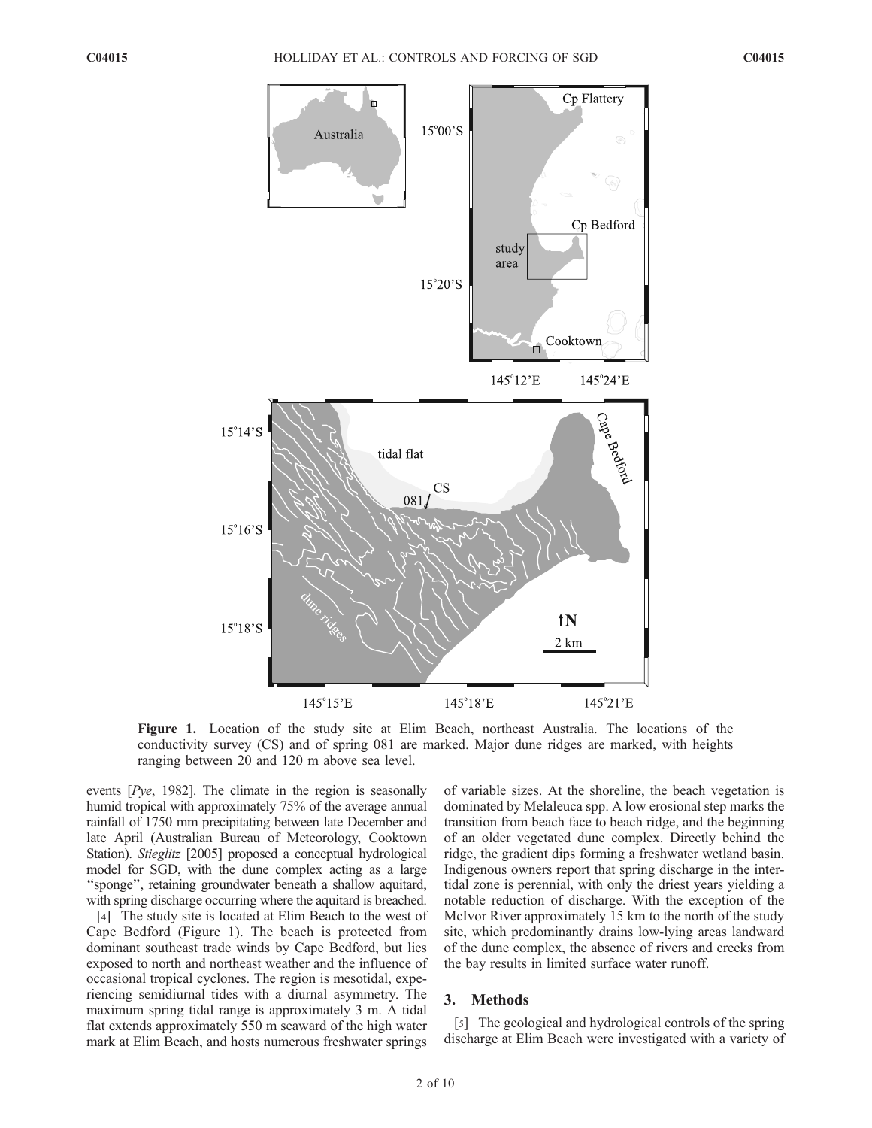

Figure 1. Location of the study site at Elim Beach, northeast Australia. The locations of the conductivity survey (CS) and of spring 081 are marked. Major dune ridges are marked, with heights ranging between 20 and 120 m above sea level.

events [Pye, 1982]. The climate in the region is seasonally humid tropical with approximately 75% of the average annual rainfall of 1750 mm precipitating between late December and late April (Australian Bureau of Meteorology, Cooktown Station). Stieglitz [2005] proposed a conceptual hydrological model for SGD, with the dune complex acting as a large ''sponge'', retaining groundwater beneath a shallow aquitard, with spring discharge occurring where the aquitard is breached.

[4] The study site is located at Elim Beach to the west of Cape Bedford (Figure 1). The beach is protected from dominant southeast trade winds by Cape Bedford, but lies exposed to north and northeast weather and the influence of occasional tropical cyclones. The region is mesotidal, experiencing semidiurnal tides with a diurnal asymmetry. The maximum spring tidal range is approximately 3 m. A tidal flat extends approximately 550 m seaward of the high water mark at Elim Beach, and hosts numerous freshwater springs

of variable sizes. At the shoreline, the beach vegetation is dominated by Melaleuca spp. A low erosional step marks the transition from beach face to beach ridge, and the beginning of an older vegetated dune complex. Directly behind the ridge, the gradient dips forming a freshwater wetland basin. Indigenous owners report that spring discharge in the intertidal zone is perennial, with only the driest years yielding a notable reduction of discharge. With the exception of the McIvor River approximately 15 km to the north of the study site, which predominantly drains low-lying areas landward of the dune complex, the absence of rivers and creeks from the bay results in limited surface water runoff.

## 3. Methods

[5] The geological and hydrological controls of the spring discharge at Elim Beach were investigated with a variety of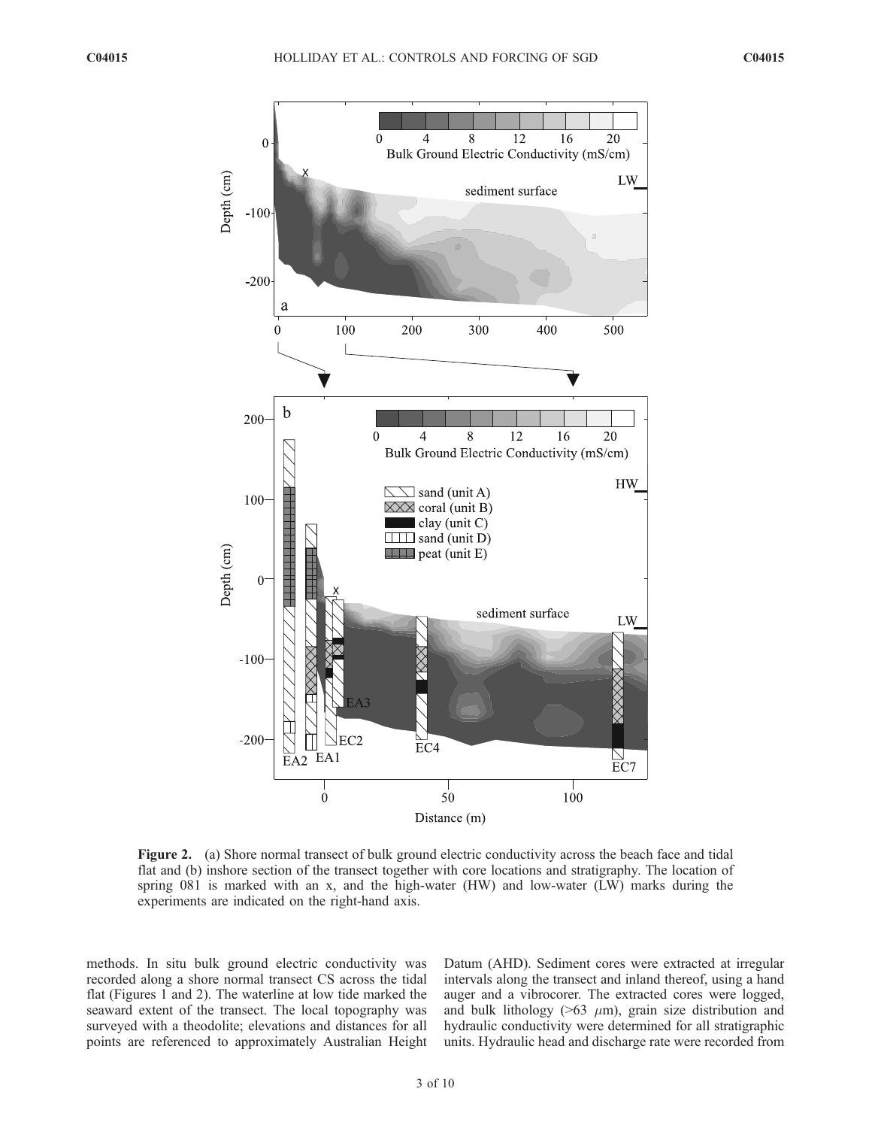

Figure 2. (a) Shore normal transect of bulk ground electric conductivity across the beach face and tidal flat and (b) inshore section of the transect together with core locations and stratigraphy. The location of spring 081 is marked with an x, and the high-water (HW) and low-water (LW) marks during the experiments are indicated on the right-hand axis.

methods. In situ bulk ground electric conductivity was recorded along a shore normal transect CS across the tidal flat (Figures 1 and 2). The waterline at low tide marked the seaward extent of the transect. The local topography was surveyed with a theodolite; elevations and distances for all points are referenced to approximately Australian Height Datum (AHD). Sediment cores were extracted at irregular intervals along the transect and inland thereof, using a hand auger and a vibrocorer. The extracted cores were logged, and bulk lithology ( $>63 \mu m$ ), grain size distribution and hydraulic conductivity were determined for all stratigraphic units. Hydraulic head and discharge rate were recorded from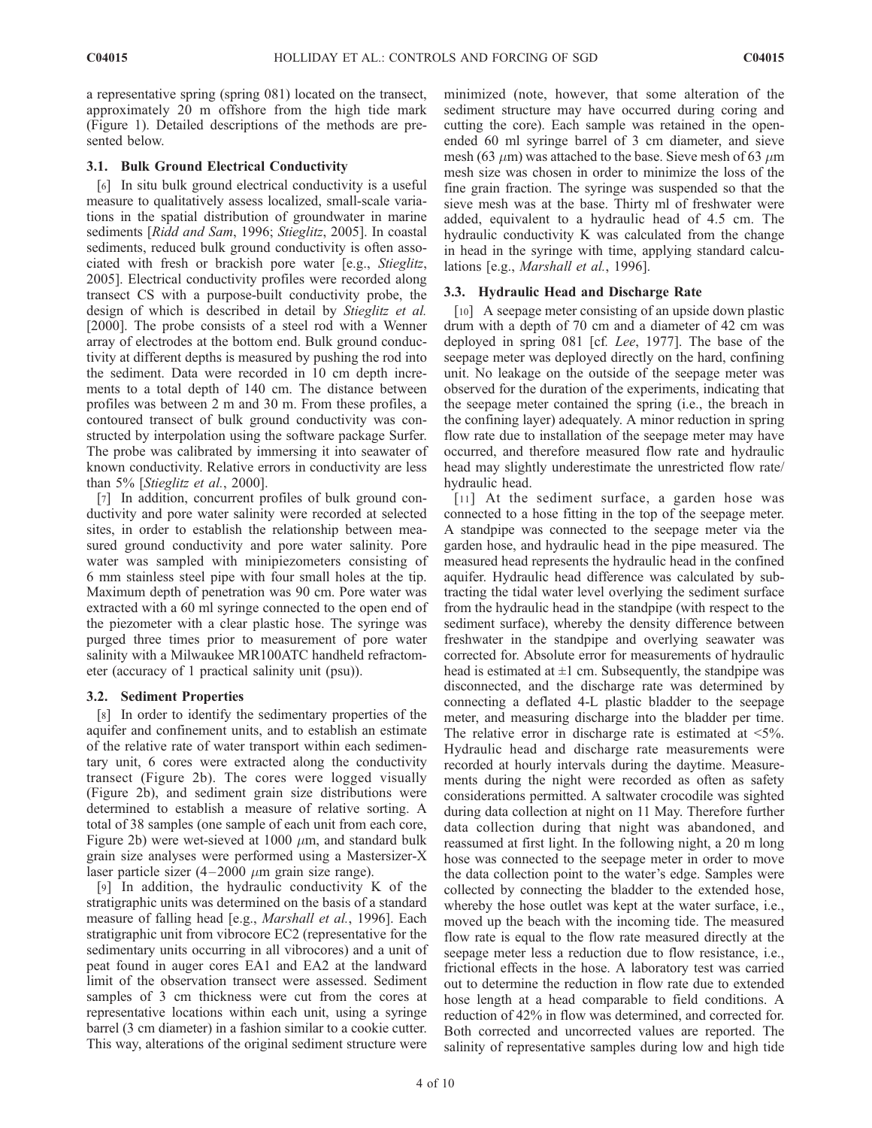a representative spring (spring 081) located on the transect, approximately 20 m offshore from the high tide mark (Figure 1). Detailed descriptions of the methods are presented below.

## 3.1. Bulk Ground Electrical Conductivity

[6] In situ bulk ground electrical conductivity is a useful measure to qualitatively assess localized, small-scale variations in the spatial distribution of groundwater in marine sediments [Ridd and Sam, 1996; Stieglitz, 2005]. In coastal sediments, reduced bulk ground conductivity is often associated with fresh or brackish pore water [e.g., Stieglitz, 2005]. Electrical conductivity profiles were recorded along transect CS with a purpose-built conductivity probe, the design of which is described in detail by Stieglitz et al. [2000]. The probe consists of a steel rod with a Wenner array of electrodes at the bottom end. Bulk ground conductivity at different depths is measured by pushing the rod into the sediment. Data were recorded in 10 cm depth increments to a total depth of 140 cm. The distance between profiles was between 2 m and 30 m. From these profiles, a contoured transect of bulk ground conductivity was constructed by interpolation using the software package Surfer. The probe was calibrated by immersing it into seawater of known conductivity. Relative errors in conductivity are less than 5% [Stieglitz et al., 2000].

[7] In addition, concurrent profiles of bulk ground conductivity and pore water salinity were recorded at selected sites, in order to establish the relationship between measured ground conductivity and pore water salinity. Pore water was sampled with minipiezometers consisting of 6 mm stainless steel pipe with four small holes at the tip. Maximum depth of penetration was 90 cm. Pore water was extracted with a 60 ml syringe connected to the open end of the piezometer with a clear plastic hose. The syringe was purged three times prior to measurement of pore water salinity with a Milwaukee MR100ATC handheld refractometer (accuracy of 1 practical salinity unit (psu)).

## 3.2. Sediment Properties

[8] In order to identify the sedimentary properties of the aquifer and confinement units, and to establish an estimate of the relative rate of water transport within each sedimentary unit, 6 cores were extracted along the conductivity transect (Figure 2b). The cores were logged visually (Figure 2b), and sediment grain size distributions were determined to establish a measure of relative sorting. A total of 38 samples (one sample of each unit from each core, Figure 2b) were wet-sieved at 1000  $\mu$ m, and standard bulk grain size analyses were performed using a Mastersizer-X laser particle sizer  $(4-2000 \mu m)$  grain size range).

[9] In addition, the hydraulic conductivity K of the stratigraphic units was determined on the basis of a standard measure of falling head [e.g., Marshall et al., 1996]. Each stratigraphic unit from vibrocore EC2 (representative for the sedimentary units occurring in all vibrocores) and a unit of peat found in auger cores EA1 and EA2 at the landward limit of the observation transect were assessed. Sediment samples of 3 cm thickness were cut from the cores at representative locations within each unit, using a syringe barrel (3 cm diameter) in a fashion similar to a cookie cutter. This way, alterations of the original sediment structure were

minimized (note, however, that some alteration of the sediment structure may have occurred during coring and cutting the core). Each sample was retained in the openended 60 ml syringe barrel of 3 cm diameter, and sieve mesh (63  $\mu$ m) was attached to the base. Sieve mesh of 63  $\mu$ m mesh size was chosen in order to minimize the loss of the fine grain fraction. The syringe was suspended so that the sieve mesh was at the base. Thirty ml of freshwater were added, equivalent to a hydraulic head of 4.5 cm. The hydraulic conductivity K was calculated from the change in head in the syringe with time, applying standard calculations [e.g., Marshall et al., 1996].

# 3.3. Hydraulic Head and Discharge Rate

[10] A seepage meter consisting of an upside down plastic drum with a depth of 70 cm and a diameter of 42 cm was deployed in spring 081 [cf. Lee, 1977]. The base of the seepage meter was deployed directly on the hard, confining unit. No leakage on the outside of the seepage meter was observed for the duration of the experiments, indicating that the seepage meter contained the spring (i.e., the breach in the confining layer) adequately. A minor reduction in spring flow rate due to installation of the seepage meter may have occurred, and therefore measured flow rate and hydraulic head may slightly underestimate the unrestricted flow rate/ hydraulic head.

[11] At the sediment surface, a garden hose was connected to a hose fitting in the top of the seepage meter. A standpipe was connected to the seepage meter via the garden hose, and hydraulic head in the pipe measured. The measured head represents the hydraulic head in the confined aquifer. Hydraulic head difference was calculated by subtracting the tidal water level overlying the sediment surface from the hydraulic head in the standpipe (with respect to the sediment surface), whereby the density difference between freshwater in the standpipe and overlying seawater was corrected for. Absolute error for measurements of hydraulic head is estimated at  $\pm 1$  cm. Subsequently, the standpipe was disconnected, and the discharge rate was determined by connecting a deflated 4-L plastic bladder to the seepage meter, and measuring discharge into the bladder per time. The relative error in discharge rate is estimated at  $\langle 5\% \rangle$ . Hydraulic head and discharge rate measurements were recorded at hourly intervals during the daytime. Measurements during the night were recorded as often as safety considerations permitted. A saltwater crocodile was sighted during data collection at night on 11 May. Therefore further data collection during that night was abandoned, and reassumed at first light. In the following night, a 20 m long hose was connected to the seepage meter in order to move the data collection point to the water's edge. Samples were collected by connecting the bladder to the extended hose, whereby the hose outlet was kept at the water surface, i.e., moved up the beach with the incoming tide. The measured flow rate is equal to the flow rate measured directly at the seepage meter less a reduction due to flow resistance, i.e., frictional effects in the hose. A laboratory test was carried out to determine the reduction in flow rate due to extended hose length at a head comparable to field conditions. A reduction of 42% in flow was determined, and corrected for. Both corrected and uncorrected values are reported. The salinity of representative samples during low and high tide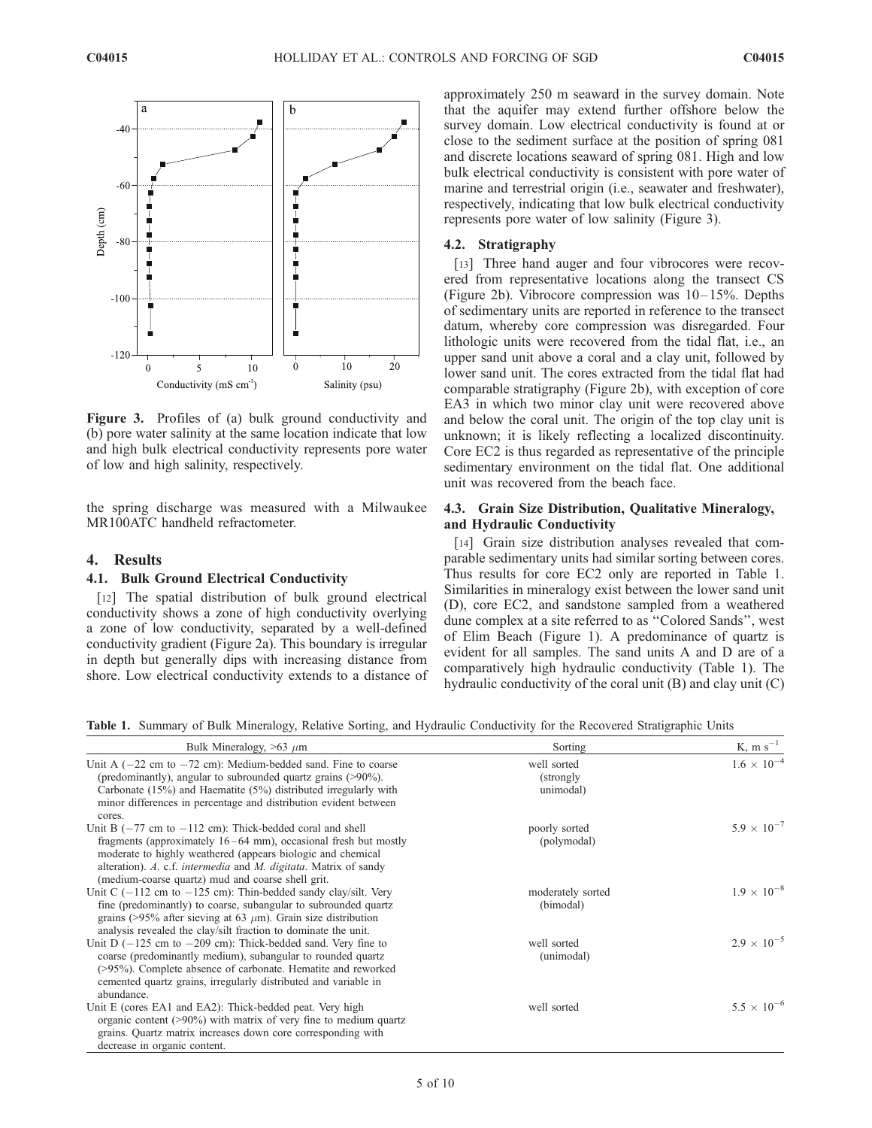

Figure 3. Profiles of (a) bulk ground conductivity and (b) pore water salinity at the same location indicate that low and high bulk electrical conductivity represents pore water of low and high salinity, respectively.

the spring discharge was measured with a Milwaukee MR100ATC handheld refractometer.

## 4. Results

## 4.1. Bulk Ground Electrical Conductivity

[12] The spatial distribution of bulk ground electrical conductivity shows a zone of high conductivity overlying a zone of low conductivity, separated by a well-defined conductivity gradient (Figure 2a). This boundary is irregular in depth but generally dips with increasing distance from shore. Low electrical conductivity extends to a distance of approximately 250 m seaward in the survey domain. Note that the aquifer may extend further offshore below the survey domain. Low electrical conductivity is found at or close to the sediment surface at the position of spring 081 and discrete locations seaward of spring 081. High and low bulk electrical conductivity is consistent with pore water of marine and terrestrial origin (i.e., seawater and freshwater), respectively, indicating that low bulk electrical conductivity represents pore water of low salinity (Figure 3).

## 4.2. Stratigraphy

[13] Three hand auger and four vibrocores were recovered from representative locations along the transect CS (Figure 2b). Vibrocore compression was  $10-15%$ . Depths of sedimentary units are reported in reference to the transect datum, whereby core compression was disregarded. Four lithologic units were recovered from the tidal flat, i.e., an upper sand unit above a coral and a clay unit, followed by lower sand unit. The cores extracted from the tidal flat had comparable stratigraphy (Figure 2b), with exception of core EA3 in which two minor clay unit were recovered above and below the coral unit. The origin of the top clay unit is unknown; it is likely reflecting a localized discontinuity. Core EC2 is thus regarded as representative of the principle sedimentary environment on the tidal flat. One additional unit was recovered from the beach face.

## 4.3. Grain Size Distribution, Qualitative Mineralogy, and Hydraulic Conductivity

[14] Grain size distribution analyses revealed that comparable sedimentary units had similar sorting between cores. Thus results for core EC2 only are reported in Table 1. Similarities in mineralogy exist between the lower sand unit (D), core EC2, and sandstone sampled from a weathered dune complex at a site referred to as ''Colored Sands'', west of Elim Beach (Figure 1). A predominance of quartz is evident for all samples. The sand units A and D are of a comparatively high hydraulic conductivity (Table 1). The hydraulic conductivity of the coral unit (B) and clay unit (C)

Table 1. Summary of Bulk Mineralogy, Relative Sorting, and Hydraulic Conductivity for the Recovered Stratigraphic Units

| Bulk Mineralogy, $>63 \mu m$                                                                                                                                                                                                                                                                                                                                       | Sorting                                | K, m $s^{-1}$        |
|--------------------------------------------------------------------------------------------------------------------------------------------------------------------------------------------------------------------------------------------------------------------------------------------------------------------------------------------------------------------|----------------------------------------|----------------------|
| Unit A $(-22 \text{ cm to } -72 \text{ cm})$ : Medium-bedded sand. Fine to coarse<br>(predominantly), angular to subrounded quartz grains (>90%).<br>Carbonate $(15\%)$ and Haematite $(5\%)$ distributed irregularly with<br>minor differences in percentage and distribution evident between                                                                     | well sorted<br>(strongly)<br>unimodal) | $1.6 \times 10^{-4}$ |
| cores.<br>Unit B $(-77 \text{ cm to } -112 \text{ cm})$ : Thick-bedded coral and shell<br>fragments (approximately $16-64$ mm), occasional fresh but mostly<br>moderate to highly weathered (appears biologic and chemical<br>alteration). A. c.f. <i>intermedia</i> and <i>M. digitata</i> . Matrix of sandy<br>(medium-coarse quartz) mud and coarse shell grit. | poorly sorted<br>(polymodal)           | $5.9 \times 10^{-7}$ |
| Unit C $(-112 \text{ cm to } -125 \text{ cm})$ : Thin-bedded sandy clay/silt. Very<br>fine (predominantly) to coarse, subangular to subrounded quartz<br>grains (>95% after sieving at 63 $\mu$ m). Grain size distribution<br>analysis revealed the clay/silt fraction to dominate the unit.                                                                      | moderately sorted<br>(bimodal)         | $1.9 \times 10^{-8}$ |
| Unit D $(-125 \text{ cm to } -209 \text{ cm})$ : Thick-bedded sand. Very fine to<br>coarse (predominantly medium), subangular to rounded quartz<br>(>95%). Complete absence of carbonate. Hematite and reworked<br>cemented quartz grains, irregularly distributed and variable in<br>abundance.                                                                   | well sorted<br>(unimodal)              | $2.9 \times 10^{-5}$ |
| Unit E (cores EA1 and EA2): Thick-bedded peat. Very high<br>organic content $(>90\%)$ with matrix of very fine to medium quartz<br>grains. Quartz matrix increases down core corresponding with<br>decrease in organic content                                                                                                                                     | well sorted                            | $5.5 \times 10^{-6}$ |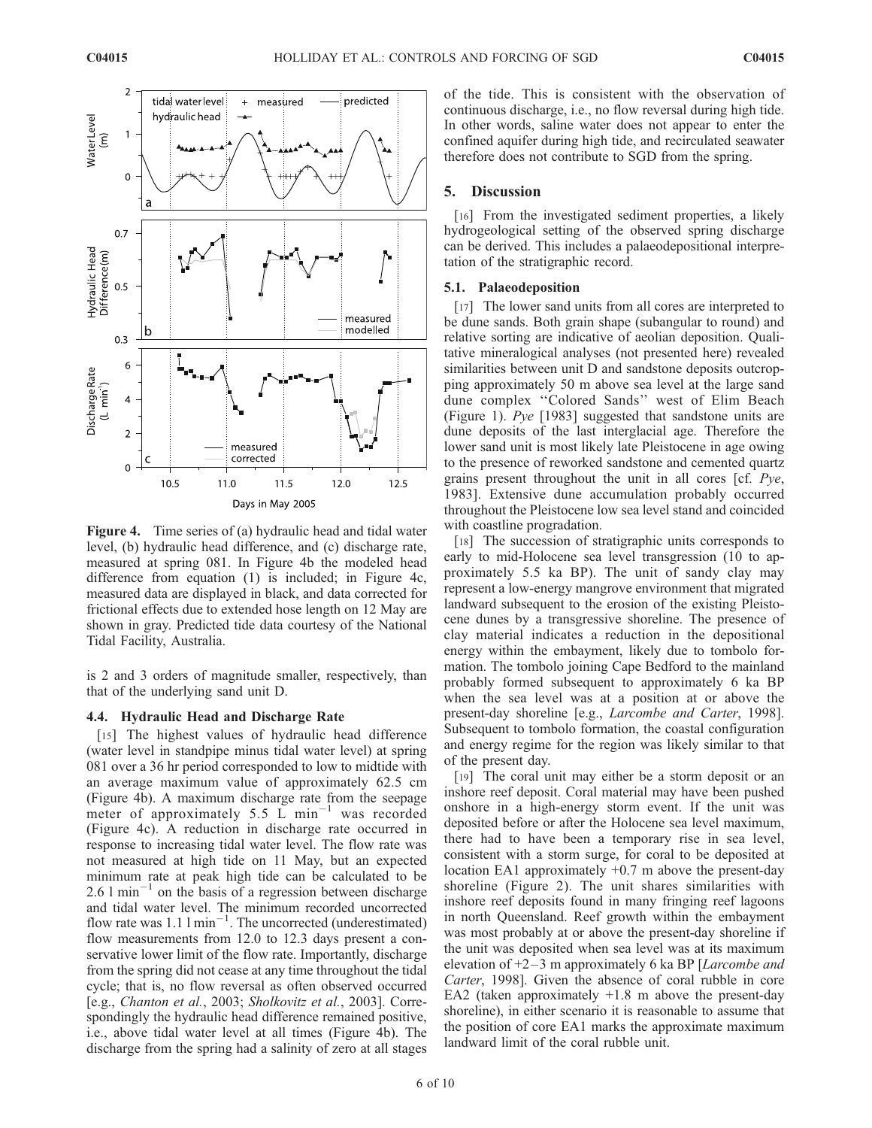

Figure 4. Time series of (a) hydraulic head and tidal water level, (b) hydraulic head difference, and (c) discharge rate, measured at spring 081. In Figure 4b the modeled head difference from equation (1) is included; in Figure 4c, measured data are displayed in black, and data corrected for frictional effects due to extended hose length on 12 May are shown in gray. Predicted tide data courtesy of the National Tidal Facility, Australia.

is 2 and 3 orders of magnitude smaller, respectively, than that of the underlying sand unit D.

#### 4.4. Hydraulic Head and Discharge Rate

[15] The highest values of hydraulic head difference (water level in standpipe minus tidal water level) at spring 081 over a 36 hr period corresponded to low to midtide with an average maximum value of approximately 62.5 cm (Figure 4b). A maximum discharge rate from the seepage meter of approximately 5.5 L min<sup>-1</sup> was recorded (Figure 4c). A reduction in discharge rate occurred in response to increasing tidal water level. The flow rate was not measured at high tide on 11 May, but an expected minimum rate at peak high tide can be calculated to be  $2.6$  l min<sup>-1</sup> on the basis of a regression between discharge and tidal water level. The minimum recorded uncorrected flow rate was  $1.1 \text{ l min}^{-1}$ . The uncorrected (underestimated) flow measurements from 12.0 to 12.3 days present a conservative lower limit of the flow rate. Importantly, discharge from the spring did not cease at any time throughout the tidal cycle; that is, no flow reversal as often observed occurred [e.g., Chanton et al., 2003; Sholkovitz et al., 2003]. Correspondingly the hydraulic head difference remained positive, i.e., above tidal water level at all times (Figure 4b). The discharge from the spring had a salinity of zero at all stages

of the tide. This is consistent with the observation of continuous discharge, i.e., no flow reversal during high tide. In other words, saline water does not appear to enter the confined aquifer during high tide, and recirculated seawater therefore does not contribute to SGD from the spring.

## 5. Discussion

[16] From the investigated sediment properties, a likely hydrogeological setting of the observed spring discharge can be derived. This includes a palaeodepositional interpretation of the stratigraphic record.

## 5.1. Palaeodeposition

[17] The lower sand units from all cores are interpreted to be dune sands. Both grain shape (subangular to round) and relative sorting are indicative of aeolian deposition. Qualitative mineralogical analyses (not presented here) revealed similarities between unit D and sandstone deposits outcropping approximately 50 m above sea level at the large sand dune complex ''Colored Sands'' west of Elim Beach (Figure 1). Pye [1983] suggested that sandstone units are dune deposits of the last interglacial age. Therefore the lower sand unit is most likely late Pleistocene in age owing to the presence of reworked sandstone and cemented quartz grains present throughout the unit in all cores [cf. Pye, 1983]. Extensive dune accumulation probably occurred throughout the Pleistocene low sea level stand and coincided with coastline progradation.

[18] The succession of stratigraphic units corresponds to early to mid-Holocene sea level transgression (10 to approximately 5.5 ka BP). The unit of sandy clay may represent a low-energy mangrove environment that migrated landward subsequent to the erosion of the existing Pleistocene dunes by a transgressive shoreline. The presence of clay material indicates a reduction in the depositional energy within the embayment, likely due to tombolo formation. The tombolo joining Cape Bedford to the mainland probably formed subsequent to approximately 6 ka BP when the sea level was at a position at or above the present-day shoreline [e.g., Larcombe and Carter, 1998]. Subsequent to tombolo formation, the coastal configuration and energy regime for the region was likely similar to that of the present day.

[19] The coral unit may either be a storm deposit or an inshore reef deposit. Coral material may have been pushed onshore in a high-energy storm event. If the unit was deposited before or after the Holocene sea level maximum, there had to have been a temporary rise in sea level, consistent with a storm surge, for coral to be deposited at location EA1 approximately +0.7 m above the present-day shoreline (Figure 2). The unit shares similarities with inshore reef deposits found in many fringing reef lagoons in north Queensland. Reef growth within the embayment was most probably at or above the present-day shoreline if the unit was deposited when sea level was at its maximum elevation of  $+2-3$  m approximately 6 ka BP [Larcombe and Carter, 1998]. Given the absence of coral rubble in core EA2 (taken approximately  $+1.8$  m above the present-day shoreline), in either scenario it is reasonable to assume that the position of core EA1 marks the approximate maximum landward limit of the coral rubble unit.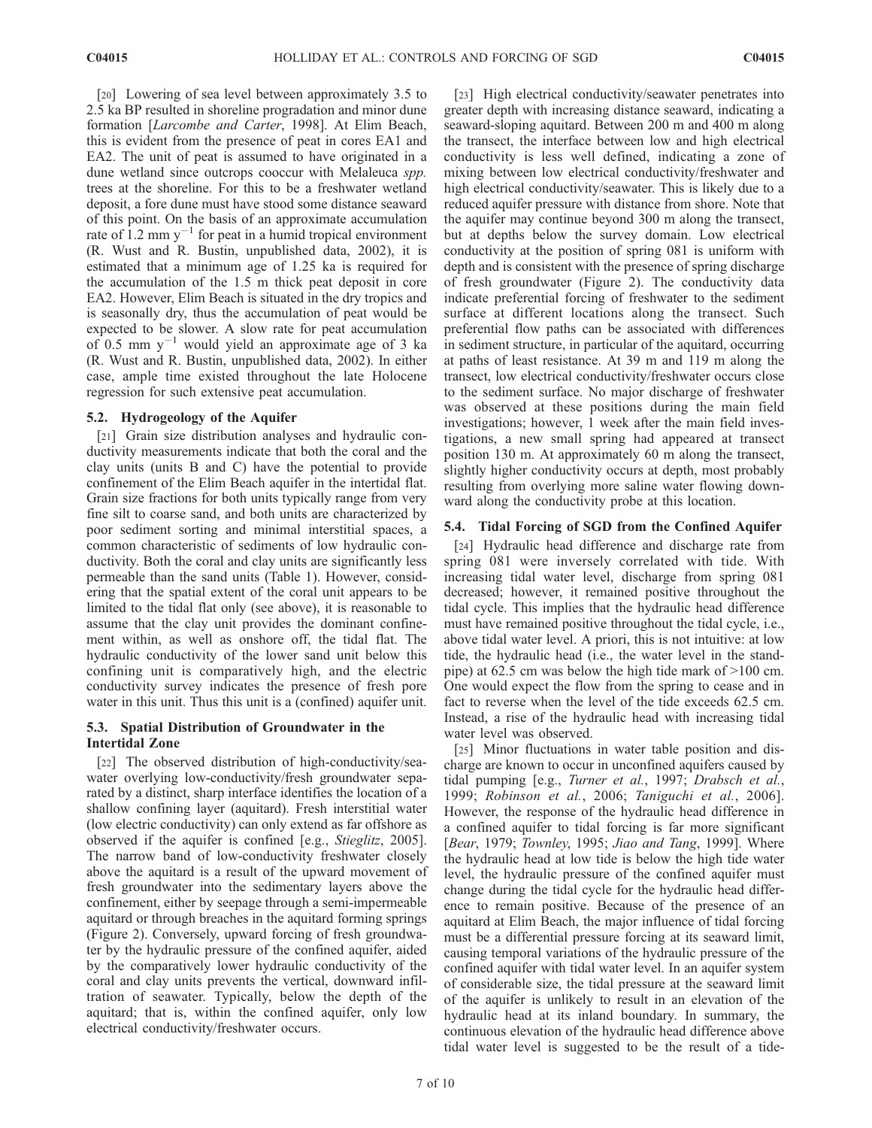[20] Lowering of sea level between approximately 3.5 to 2.5 ka BP resulted in shoreline progradation and minor dune formation [Larcombe and Carter, 1998]. At Elim Beach, this is evident from the presence of peat in cores EA1 and EA2. The unit of peat is assumed to have originated in a dune wetland since outcrops cooccur with Melaleuca spp. trees at the shoreline. For this to be a freshwater wetland deposit, a fore dune must have stood some distance seaward of this point. On the basis of an approximate accumulation rate of 1.2 mm  $y^{-1}$  for peat in a humid tropical environment (R. Wust and R. Bustin, unpublished data, 2002), it is estimated that a minimum age of 1.25 ka is required for the accumulation of the 1.5 m thick peat deposit in core EA2. However, Elim Beach is situated in the dry tropics and is seasonally dry, thus the accumulation of peat would be expected to be slower. A slow rate for peat accumulation of 0.5 mm  $y^{-1}$  would yield an approximate age of 3 ka (R. Wust and R. Bustin, unpublished data, 2002). In either case, ample time existed throughout the late Holocene regression for such extensive peat accumulation.

## 5.2. Hydrogeology of the Aquifer

[21] Grain size distribution analyses and hydraulic conductivity measurements indicate that both the coral and the clay units (units B and C) have the potential to provide confinement of the Elim Beach aquifer in the intertidal flat. Grain size fractions for both units typically range from very fine silt to coarse sand, and both units are characterized by poor sediment sorting and minimal interstitial spaces, a common characteristic of sediments of low hydraulic conductivity. Both the coral and clay units are significantly less permeable than the sand units (Table 1). However, considering that the spatial extent of the coral unit appears to be limited to the tidal flat only (see above), it is reasonable to assume that the clay unit provides the dominant confinement within, as well as onshore off, the tidal flat. The hydraulic conductivity of the lower sand unit below this confining unit is comparatively high, and the electric conductivity survey indicates the presence of fresh pore water in this unit. Thus this unit is a (confined) aquifer unit.

## 5.3. Spatial Distribution of Groundwater in the Intertidal Zone

[22] The observed distribution of high-conductivity/seawater overlying low-conductivity/fresh groundwater separated by a distinct, sharp interface identifies the location of a shallow confining layer (aquitard). Fresh interstitial water (low electric conductivity) can only extend as far offshore as observed if the aquifer is confined [e.g., Stieglitz, 2005]. The narrow band of low-conductivity freshwater closely above the aquitard is a result of the upward movement of fresh groundwater into the sedimentary layers above the confinement, either by seepage through a semi-impermeable aquitard or through breaches in the aquitard forming springs (Figure 2). Conversely, upward forcing of fresh groundwater by the hydraulic pressure of the confined aquifer, aided by the comparatively lower hydraulic conductivity of the coral and clay units prevents the vertical, downward infiltration of seawater. Typically, below the depth of the aquitard; that is, within the confined aquifer, only low electrical conductivity/freshwater occurs.

[23] High electrical conductivity/seawater penetrates into greater depth with increasing distance seaward, indicating a seaward-sloping aquitard. Between 200 m and 400 m along the transect, the interface between low and high electrical conductivity is less well defined, indicating a zone of mixing between low electrical conductivity/freshwater and high electrical conductivity/seawater. This is likely due to a reduced aquifer pressure with distance from shore. Note that the aquifer may continue beyond 300 m along the transect, but at depths below the survey domain. Low electrical conductivity at the position of spring 081 is uniform with depth and is consistent with the presence of spring discharge of fresh groundwater (Figure 2). The conductivity data indicate preferential forcing of freshwater to the sediment surface at different locations along the transect. Such preferential flow paths can be associated with differences in sediment structure, in particular of the aquitard, occurring at paths of least resistance. At 39 m and 119 m along the transect, low electrical conductivity/freshwater occurs close to the sediment surface. No major discharge of freshwater was observed at these positions during the main field investigations; however, 1 week after the main field investigations, a new small spring had appeared at transect position 130 m. At approximately 60 m along the transect, slightly higher conductivity occurs at depth, most probably resulting from overlying more saline water flowing downward along the conductivity probe at this location.

#### 5.4. Tidal Forcing of SGD from the Confined Aquifer

[24] Hydraulic head difference and discharge rate from spring 081 were inversely correlated with tide. With increasing tidal water level, discharge from spring 081 decreased; however, it remained positive throughout the tidal cycle. This implies that the hydraulic head difference must have remained positive throughout the tidal cycle, i.e., above tidal water level. A priori, this is not intuitive: at low tide, the hydraulic head (i.e., the water level in the standpipe) at 62.5 cm was below the high tide mark of >100 cm. One would expect the flow from the spring to cease and in fact to reverse when the level of the tide exceeds 62.5 cm. Instead, a rise of the hydraulic head with increasing tidal water level was observed.

[25] Minor fluctuations in water table position and discharge are known to occur in unconfined aquifers caused by tidal pumping [e.g., Turner et al., 1997; Drabsch et al., 1999; Robinson et al., 2006; Taniguchi et al., 2006]. However, the response of the hydraulic head difference in a confined aquifer to tidal forcing is far more significant [Bear, 1979; Townley, 1995; Jiao and Tang, 1999]. Where the hydraulic head at low tide is below the high tide water level, the hydraulic pressure of the confined aquifer must change during the tidal cycle for the hydraulic head difference to remain positive. Because of the presence of an aquitard at Elim Beach, the major influence of tidal forcing must be a differential pressure forcing at its seaward limit, causing temporal variations of the hydraulic pressure of the confined aquifer with tidal water level. In an aquifer system of considerable size, the tidal pressure at the seaward limit of the aquifer is unlikely to result in an elevation of the hydraulic head at its inland boundary. In summary, the continuous elevation of the hydraulic head difference above tidal water level is suggested to be the result of a tide-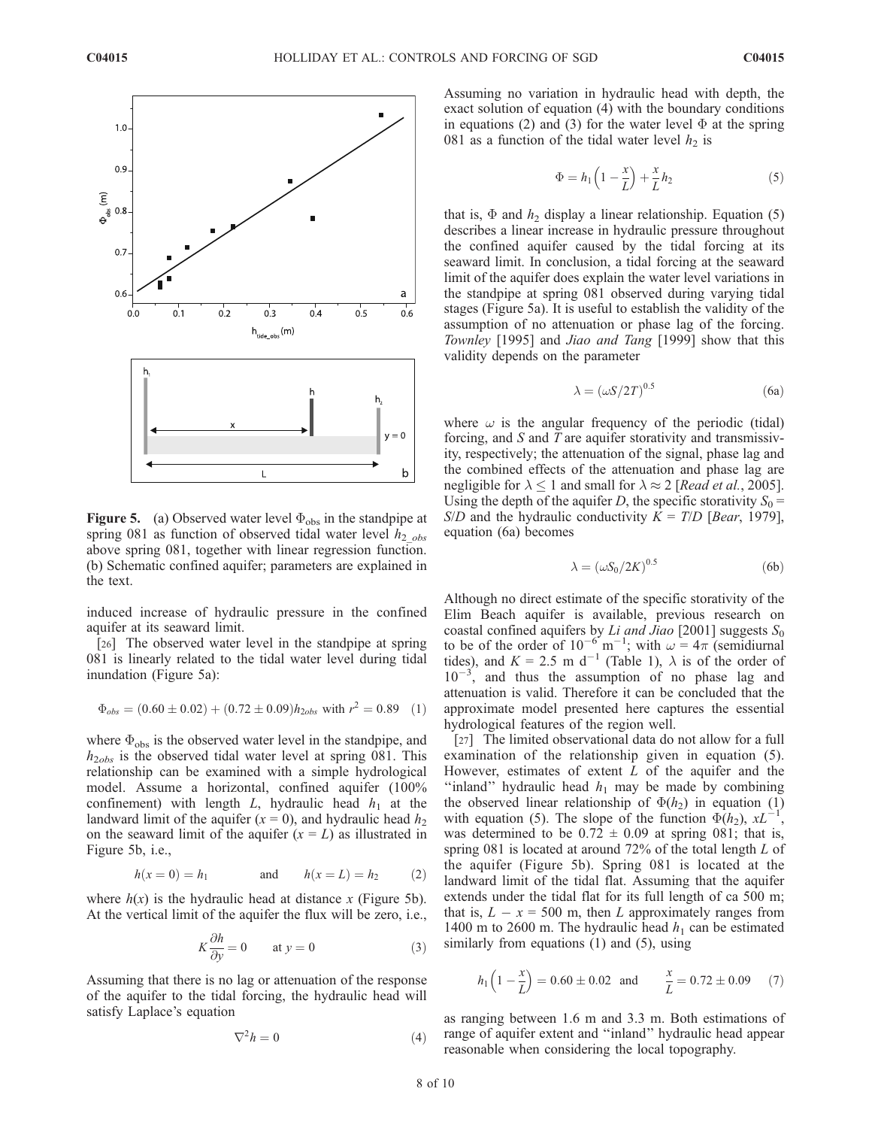

**Figure 5.** (a) Observed water level  $\Phi_{obs}$  in the standpipe at spring 081 as function of observed tidal water level  $h_2$  <sub>obs</sub> above spring 081, together with linear regression function. (b) Schematic confined aquifer; parameters are explained in the text.

induced increase of hydraulic pressure in the confined aquifer at its seaward limit.

[26] The observed water level in the standpipe at spring 081 is linearly related to the tidal water level during tidal inundation (Figure 5a):

$$
\Phi_{obs} = (0.60 \pm 0.02) + (0.72 \pm 0.09)h_{2obs} \text{ with } r^2 = 0.89 \quad (1)
$$

where  $\Phi_{\rm obs}$  is the observed water level in the standpipe, and  $h_{2obs}$  is the observed tidal water level at spring 081. This relationship can be examined with a simple hydrological model. Assume a horizontal, confined aquifer (100% confinement) with length L, hydraulic head  $h_1$  at the landward limit of the aquifer ( $x = 0$ ), and hydraulic head  $h<sub>2</sub>$ on the seaward limit of the aquifer  $(x = L)$  as illustrated in Figure 5b, i.e.,

$$
h(x = 0) = h_1
$$
 and  $h(x = L) = h_2$  (2)

where  $h(x)$  is the hydraulic head at distance x (Figure 5b). At the vertical limit of the aquifer the flux will be zero, i.e.,

$$
K\frac{\partial h}{\partial y} = 0 \qquad \text{at } y = 0 \tag{3}
$$

Assuming that there is no lag or attenuation of the response of the aquifer to the tidal forcing, the hydraulic head will satisfy Laplace's equation

$$
\nabla^2 h = 0 \tag{4}
$$

Assuming no variation in hydraulic head with depth, the exact solution of equation (4) with the boundary conditions in equations (2) and (3) for the water level  $\Phi$  at the spring 081 as a function of the tidal water level  $h_2$  is

$$
\Phi = h_1 \left( 1 - \frac{x}{L} \right) + \frac{x}{L} h_2 \tag{5}
$$

that is,  $\Phi$  and  $h_2$  display a linear relationship. Equation (5) describes a linear increase in hydraulic pressure throughout the confined aquifer caused by the tidal forcing at its seaward limit. In conclusion, a tidal forcing at the seaward limit of the aquifer does explain the water level variations in the standpipe at spring 081 observed during varying tidal stages (Figure 5a). It is useful to establish the validity of the assumption of no attenuation or phase lag of the forcing. Townley [1995] and Jiao and Tang [1999] show that this validity depends on the parameter

$$
\lambda = \left(\omega S / 2T\right)^{0.5} \tag{6a}
$$

where  $\omega$  is the angular frequency of the periodic (tidal) forcing, and  $S$  and  $T$  are aquifer storativity and transmissivity, respectively; the attenuation of the signal, phase lag and the combined effects of the attenuation and phase lag are negligible for  $\lambda \le 1$  and small for  $\lambda \approx 2$  [*Read et al.*, 2005]. Using the depth of the aquifer D, the specific storativity  $S_0$  = S/D and the hydraulic conductivity  $K = T/D$  [Bear, 1979], equation (6a) becomes

$$
\lambda = \left(\omega S_0 / 2K\right)^{0.5} \tag{6b}
$$

Although no direct estimate of the specific storativity of the Elim Beach aquifer is available, previous research on coastal confined aquifers by Li and Jiao [2001] suggests  $S_0$ to be of the order of  $10^{-6}$  m<sup>-1</sup>; with  $\omega = 4\pi$  (semidiurnal tides), and  $K = 2.5$  m d<sup>-1</sup> (Table 1),  $\lambda$  is of the order of  $10^{-3}$ , and thus the assumption of no phase lag and attenuation is valid. Therefore it can be concluded that the approximate model presented here captures the essential hydrological features of the region well.

[27] The limited observational data do not allow for a full examination of the relationship given in equation (5). However, estimates of extent  $L$  of the aquifer and the "inland" hydraulic head  $h_1$  may be made by combining the observed linear relationship of  $\Phi(h_2)$  in equation (1) with equation (5). The slope of the function  $\Phi(h_2)$ ,  $xL^-$ , was determined to be  $0.72 \pm 0.09$  at spring 081; that is, spring 081 is located at around 72% of the total length L of the aquifer (Figure 5b). Spring 081 is located at the landward limit of the tidal flat. Assuming that the aquifer extends under the tidal flat for its full length of ca 500 m; that is,  $L - x = 500$  m, then L approximately ranges from 1400 m to 2600 m. The hydraulic head  $h_1$  can be estimated similarly from equations (1) and (5), using

$$
h_1\left(1-\frac{x}{L}\right) = 0.60 \pm 0.02
$$
 and  $\frac{x}{L} = 0.72 \pm 0.09$  (7)

as ranging between 1.6 m and 3.3 m. Both estimations of range of aquifer extent and ''inland'' hydraulic head appear reasonable when considering the local topography.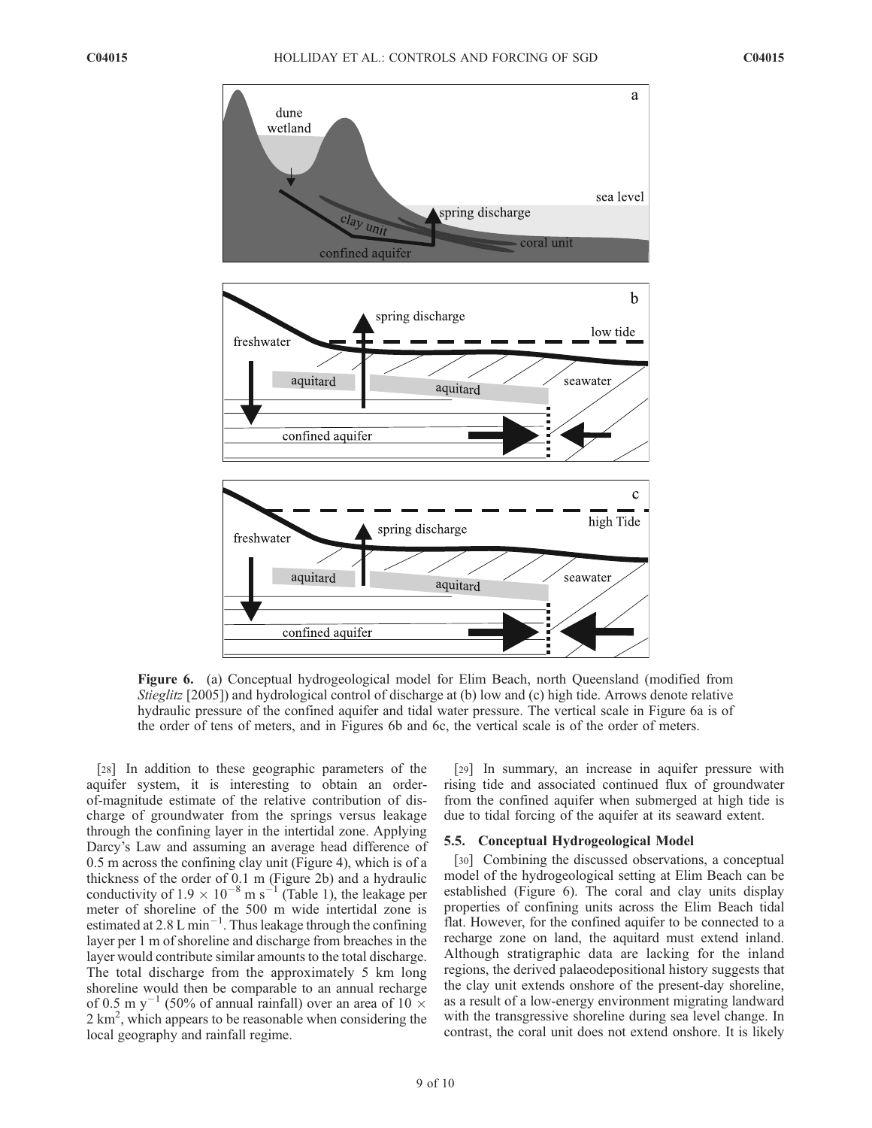

Figure 6. (a) Conceptual hydrogeological model for Elim Beach, north Queensland (modified from Stieglitz [2005]) and hydrological control of discharge at (b) low and (c) high tide. Arrows denote relative hydraulic pressure of the confined aquifer and tidal water pressure. The vertical scale in Figure 6a is of the order of tens of meters, and in Figures 6b and 6c, the vertical scale is of the order of meters.

[28] In addition to these geographic parameters of the aquifer system, it is interesting to obtain an orderof-magnitude estimate of the relative contribution of discharge of groundwater from the springs versus leakage through the confining layer in the intertidal zone. Applying Darcy's Law and assuming an average head difference of 0.5 m across the confining clay unit (Figure 4), which is of a thickness of the order of 0.1 m (Figure 2b) and a hydraulic conductivity of  $1.9 \times 10^{-8}$  m s<sup>-1</sup> (Table 1), the leakage per meter of shoreline of the 500 m wide intertidal zone is estimated at 2.8 L min<sup>-1</sup>. Thus leakage through the confining layer per 1 m of shoreline and discharge from breaches in the layer would contribute similar amounts to the total discharge. The total discharge from the approximately 5 km long shoreline would then be comparable to an annual recharge of 0.5 m y<sup>-1</sup> (50% of annual rainfall) over an area of 10  $\times$ 2 km<sup>2</sup>, which appears to be reasonable when considering the local geography and rainfall regime.

[29] In summary, an increase in aquifer pressure with rising tide and associated continued flux of groundwater from the confined aquifer when submerged at high tide is due to tidal forcing of the aquifer at its seaward extent.

#### 5.5. Conceptual Hydrogeological Model

[30] Combining the discussed observations, a conceptual model of the hydrogeological setting at Elim Beach can be established (Figure 6). The coral and clay units display properties of confining units across the Elim Beach tidal flat. However, for the confined aquifer to be connected to a recharge zone on land, the aquitard must extend inland. Although stratigraphic data are lacking for the inland regions, the derived palaeodepositional history suggests that the clay unit extends onshore of the present-day shoreline, as a result of a low-energy environment migrating landward with the transgressive shoreline during sea level change. In contrast, the coral unit does not extend onshore. It is likely